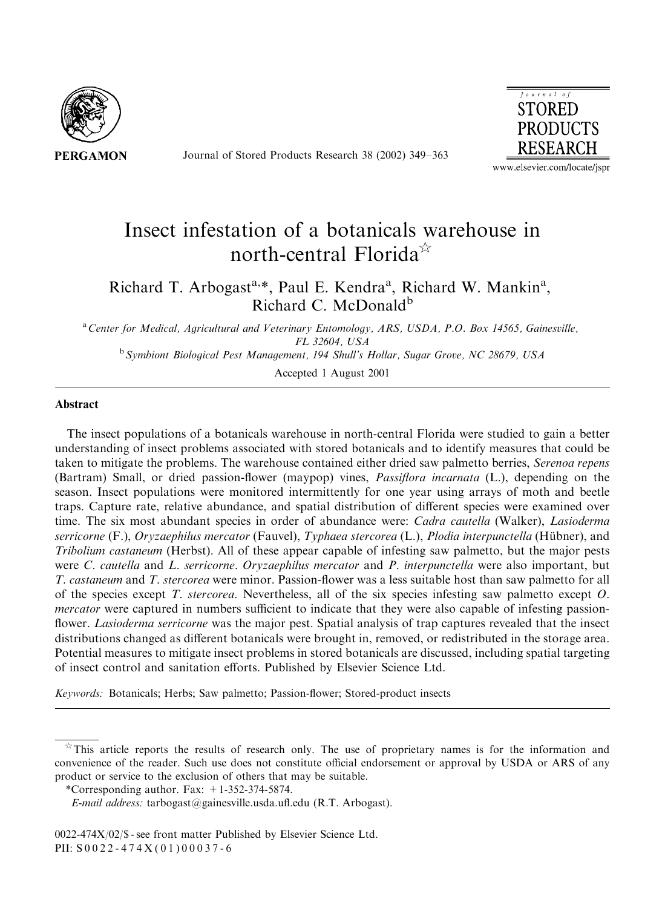

Journal of Stored Products Research 38 (2002) 349–363



www.elsevier.com/locate/jspr

# Insect infestation of a botanicals warehouse in north-central Florida $\mathbb{R}^2$

Richard T. Arbogast<sup>a,\*</sup>, Paul E. Kendra<sup>a</sup>, Richard W. Mankin<sup>a</sup>, Richard C. McDonald<sup>b</sup>

<sup>a</sup> Center for Medical, Agricultural and Veterinary Entomology, ARS, USDA, P.O. Box 14565, Gainesville, FL 32604, USA<br><sup>b</sup>Symbiont Biological Pest Management, 194 Shull's Hollar, Sugar Grove, NC 28679, USA

Accepted 1 August 2001

#### Abstract

The insect populations of a botanicals warehouse in north-central Florida were studied to gain a better understanding of insect problems associated with stored botanicals and to identify measures that could be taken to mitigate the problems. The warehouse contained either dried saw palmetto berries, Serenoa repens (Bartram) Small, or dried passion-flower (maypop) vines, Passiflora incarnata (L.), depending on the season. Insect populations were monitored intermittently for one year using arrays of moth and beetle traps. Capture rate, relative abundance, and spatial distribution of different species were examined over time. The six most abundant species in order of abundance were: Cadra cautella (Walker), Lasioderma serricorne (F.), Oryzaephilus mercator (Fauvel), Typhaea stercorea (L.), Plodia interpunctella (Hübner), and Tribolium castaneum (Herbst). All of these appear capable of infesting saw palmetto, but the major pests were C. cautella and L. serricorne. Oryzaephilus mercator and P. interpunctella were also important, but T. castaneum and T. stercorea were minor. Passion-flower was a less suitable host than saw palmetto for all of the species except T. stercorea. Nevertheless, all of the six species infesting saw palmetto except O. mercator were captured in numbers sufficient to indicate that they were also capable of infesting passionflower. Lasioderma serricorne was the major pest. Spatial analysis of trap captures revealed that the insect distributions changed as different botanicals were brought in, removed, or redistributed in the storage area. Potential measures to mitigate insect problems in stored botanicals are discussed, including spatial targeting of insect control and sanitation efforts. Published by Elsevier Science Ltd.

Keywords: Botanicals; Herbs; Saw palmetto; Passion-flower; Stored-product insects

 $\hat{\tau}$ This article reports the results of research only. The use of proprietary names is for the information and convenience of the reader. Such use does not constitute official endorsement or approval by USDA or ARS of any product or service to the exclusion of others that may be suitable.

<sup>\*</sup>Corresponding author. Fax:  $+1-352-374-5874$ .

E-mail address: tarbogast@gainesville.usda.ufl.edu (R.T. Arbogast).

<sup>0022-474</sup>X/02/\$ - see front matter Published by Elsevier Science Ltd. PII: S 0 0 2 2 - 4 7 4 X ( 0 1 ) 0 0 0 3 7 - 6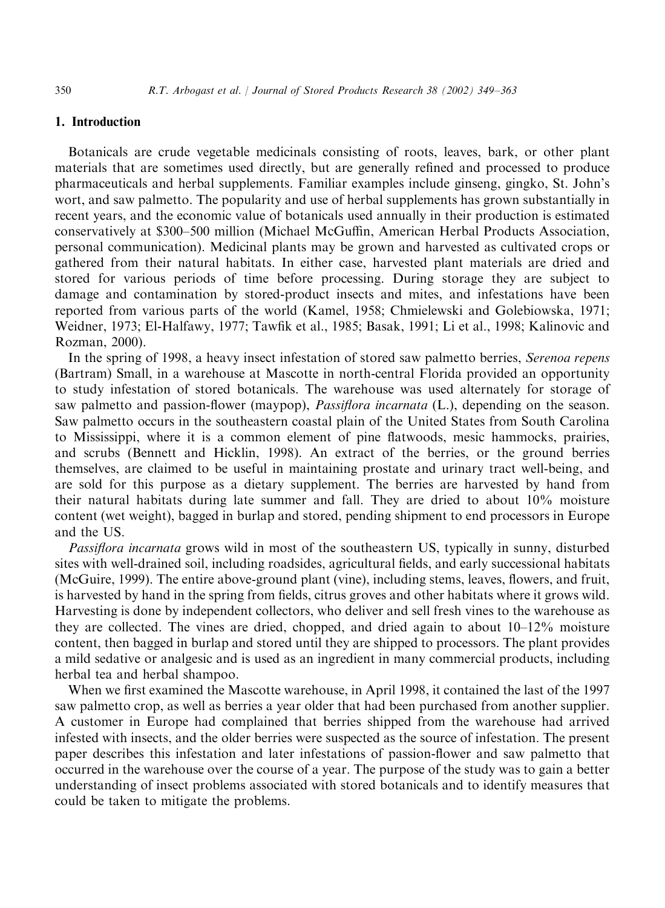# 1. Introduction

Botanicals are crude vegetable medicinals consisting of roots, leaves, bark, or other plant materials that are sometimes used directly, but are generally refined and processed to produce pharmaceuticals and herbal supplements. Familiar examples include ginseng, gingko, St. John's wort, and saw palmetto. The popularity and use of herbal supplements has grown substantially in recent years, and the economic value of botanicals used annually in their production is estimated conservatively at \$300–500 million (Michael McGuffin, American Herbal Products Association, personal communication). Medicinal plants may be grown and harvested as cultivated crops or gathered from their natural habitats. In either case, harvested plant materials are dried and stored for various periods of time before processing. During storage they are subject to damage and contamination by stored-product insects and mites, and infestations have been reported from various parts of the world (Kamel, 1958; Chmielewski and Golebiowska, 1971; Weidner, 1973; El-Halfawy, 1977; Tawfik et al., 1985; Basak, 1991; Li et al., 1998; Kalinovic and Rozman, 2000).

In the spring of 1998, a heavy insect infestation of stored saw palmetto berries, Serenoa repens (Bartram) Small, in a warehouse at Mascotte in north-central Florida provided an opportunity to study infestation of stored botanicals. The warehouse was used alternately for storage of saw palmetto and passion-flower (maypop), *Passiflora incarnata* (L.), depending on the season. Saw palmetto occurs in the southeastern coastal plain of the United States from South Carolina to Mississippi, where it is a common element of pine flatwoods, mesic hammocks, prairies, and scrubs (Bennett and Hicklin, 1998). An extract of the berries, or the ground berries themselves, are claimed to be useful in maintaining prostate and urinary tract well-being, and are sold for this purpose as a dietary supplement. The berries are harvested by hand from their natural habitats during late summer and fall. They are dried to about 10% moisture content (wet weight), bagged in burlap and stored, pending shipment to end processors in Europe and the US.

*Passiflora incarnata* grows wild in most of the southeastern US, typically in sunny, disturbed sites with well-drained soil, including roadsides, agricultural fields, and early successional habitats (McGuire, 1999). The entire above-ground plant (vine), including stems, leaves, flowers, and fruit, is harvested by hand in the spring from fields, citrus groves and other habitats where it grows wild. Harvesting is done by independent collectors, who deliver and sell fresh vines to the warehouse as they are collected. The vines are dried, chopped, and dried again to about 10–12% moisture content, then bagged in burlap and stored until they are shipped to processors. The plant provides a mild sedative or analgesic and is used as an ingredient in many commercial products, including herbal tea and herbal shampoo.

When we first examined the Mascotte warehouse, in April 1998, it contained the last of the 1997 saw palmetto crop, as well as berries a year older that had been purchased from another supplier. A customer in Europe had complained that berries shipped from the warehouse had arrived infested with insects, and the older berries were suspected as the source of infestation. The present paper describes this infestation and later infestations of passion-flower and saw palmetto that occurred in the warehouse over the course of a year. The purpose of the study was to gain a better understanding of insect problems associated with stored botanicals and to identify measures that could be taken to mitigate the problems.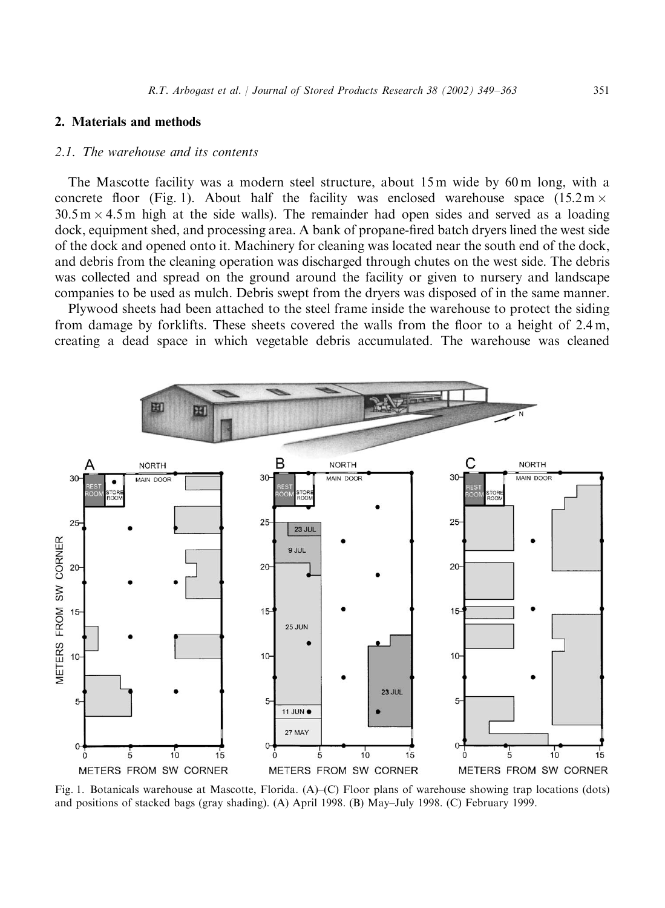#### 2. Materials and methods

#### 2.1. The warehouse and its contents

The Mascotte facility was a modern steel structure, about 15 m wide by 60 m long, with a concrete floor (Fig. 1). About half the facility was enclosed warehouse space  $(15.2 \text{ m} \times$  $30.5 \text{ m} \times 4.5 \text{ m}$  high at the side walls). The remainder had open sides and served as a loading dock, equipment shed, and processing area. A bank of propane-fired batch dryers lined the west side of the dock and opened onto it. Machinery for cleaning was located near the south end of the dock, and debris from the cleaning operation was discharged through chutes on the west side. The debris was collected and spread on the ground around the facility or given to nursery and landscape companies to be used as mulch. Debris swept from the dryers was disposed of in the same manner.

Plywood sheets had been attached to the steel frame inside the warehouse to protect the siding from damage by forklifts. These sheets covered the walls from the floor to a height of 2.4 m, creating a dead space in which vegetable debris accumulated. The warehouse was cleaned



Fig. 1. Botanicals warehouse at Mascotte, Florida. (A)–(C) Floor plans of warehouse showing trap locations (dots) and positions of stacked bags (gray shading). (A) April 1998. (B) May–July 1998. (C) February 1999.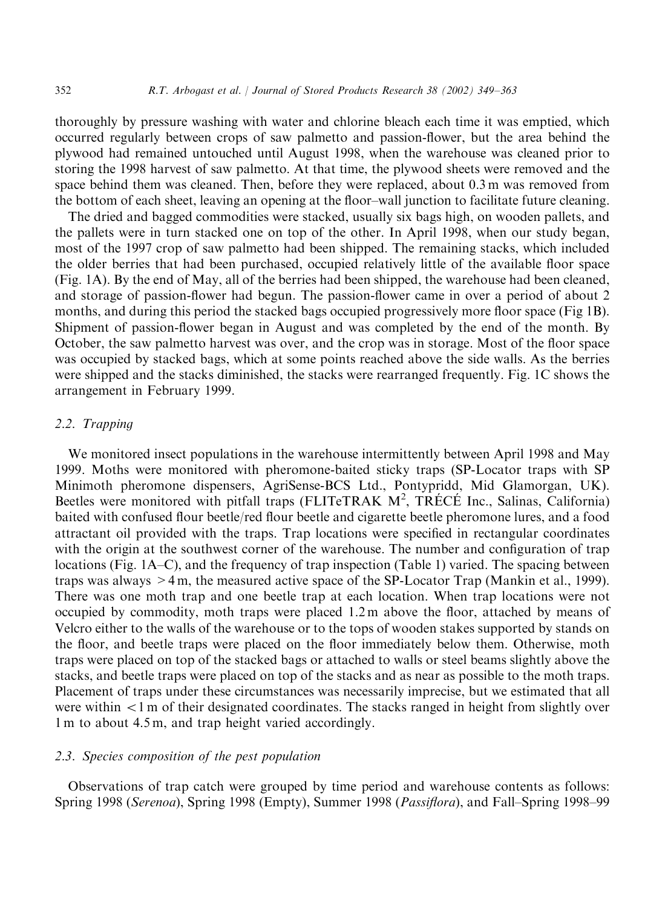thoroughly by pressure washing with water and chlorine bleach each time it was emptied, which occurred regularly between crops of saw palmetto and passion-flower, but the area behind the plywood had remained untouched until August 1998, when the warehouse was cleaned prior to storing the 1998 harvest of saw palmetto. At that time, the plywood sheets were removed and the space behind them was cleaned. Then, before they were replaced, about 0.3 m was removed from the bottom of each sheet, leaving an opening at the floor–wall junction to facilitate future cleaning.

The dried and bagged commodities were stacked, usually six bags high, on wooden pallets, and the pallets were in turn stacked one on top of the other. In April 1998, when our study began, most of the 1997 crop of saw palmetto had been shipped. The remaining stacks, which included the older berries that had been purchased, occupied relatively little of the available floor space (Fig. 1A). By the end of May, all of the berries had been shipped, the warehouse had been cleaned, and storage of passion-flower had begun. The passion-flower came in over a period of about 2 months, and during this period the stacked bags occupied progressively more floor space (Fig 1B). Shipment of passion-flower began in August and was completed by the end of the month. By October, the saw palmetto harvest was over, and the crop was in storage. Most of the floor space was occupied by stacked bags, which at some points reached above the side walls. As the berries were shipped and the stacks diminished, the stacks were rearranged frequently. Fig. 1C shows the arrangement in February 1999.

# 2.2. Trapping

We monitored insect populations in the warehouse intermittently between April 1998 and May 1999. Moths were monitored with pheromone-baited sticky traps (SP-Locator traps with SP Minimoth pheromone dispensers, AgriSense-BCS Ltd., Pontypridd, Mid Glamorgan, UK). Beetles were monitored with pitfall traps (FLITeTRAK M<sup>2</sup>, TRÉCÉ Inc., Salinas, California) baited with confused flour beetle/red flour beetle and cigarette beetle pheromone lures, and a food attractant oil provided with the traps. Trap locations were specified in rectangular coordinates with the origin at the southwest corner of the warehouse. The number and configuration of trap locations (Fig. 1A–C), and the frequency of trap inspection (Table 1) varied. The spacing between traps was always  $>4$  m, the measured active space of the SP-Locator Trap (Mankin et al., 1999). There was one moth trap and one beetle trap at each location. When trap locations were not occupied by commodity, moth traps were placed 1.2 m above the floor, attached by means of Velcro either to the walls of the warehouse or to the tops of wooden stakes supported by stands on the floor, and beetle traps were placed on the floor immediately below them. Otherwise, moth traps were placed on top of the stacked bags or attached to walls or steel beams slightly above the stacks, and beetle traps were placed on top of the stacks and as near as possible to the moth traps. Placement of traps under these circumstances was necessarily imprecise, but we estimated that all were within  $\lt 1$  m of their designated coordinates. The stacks ranged in height from slightly over 1 m to about 4.5 m, and trap height varied accordingly.

# 2.3. Species composition of the pest population

Observations of trap catch were grouped by time period and warehouse contents as follows: Spring 1998 (Serenoa), Spring 1998 (Empty), Summer 1998 (Passiflora), and Fall–Spring 1998–99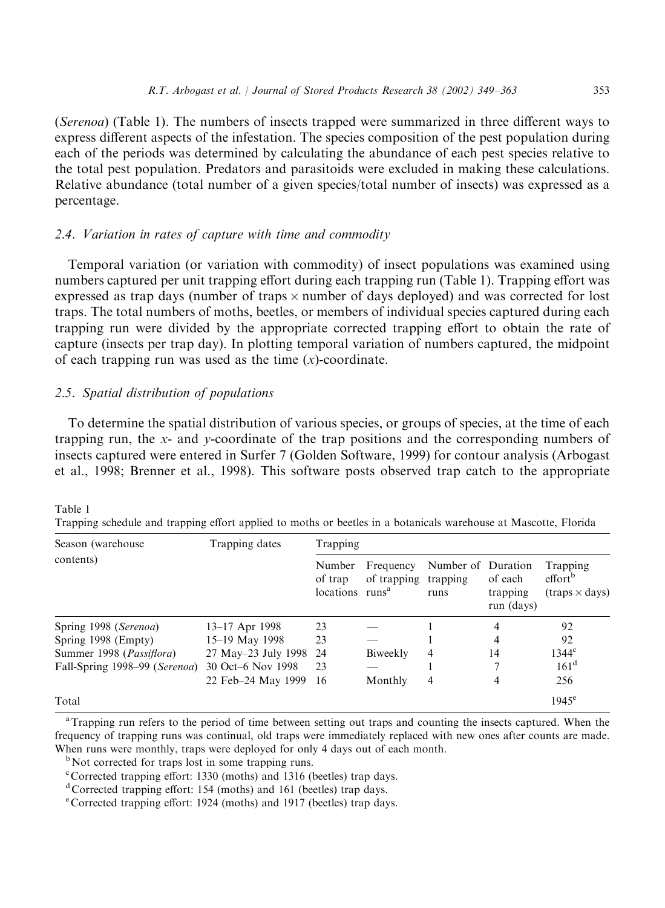(Serenoa) (Table 1). The numbers of insects trapped were summarized in three different ways to express different aspects of the infestation. The species composition of the pest population during each of the periods was determined by calculating the abundance of each pest species relative to the total pest population. Predators and parasitoids were excluded in making these calculations. Relative abundance (total number of a given species/total number of insects) was expressed as a percentage.

# 2.4. Variation in rates of capture with time and commodity

Temporal variation (or variation with commodity) of insect populations was examined using numbers captured per unit trapping effort during each trapping run (Table 1). Trapping effort was expressed as trap days (number of traps  $\times$  number of days deployed) and was corrected for lost traps. The total numbers of moths, beetles, or members of individual species captured during each trapping run were divided by the appropriate corrected trapping effort to obtain the rate of capture (insects per trap day). In plotting temporal variation of numbers captured, the midpoint of each trapping run was used as the time  $(x)$ -coordinate.

# 2.5. Spatial distribution of populations

Table 1

To determine the spatial distribution of various species, or groups of species, at the time of each trapping run, the x- and y-coordinate of the trap positions and the corresponding numbers of insects captured were entered in Surfer 7 (Golden Software, 1999) for contour analysis (Arbogast et al., 1998; Brenner et al., 1998). This software posts observed trap catch to the appropriate

| --------                                                                                                         |  |  |  |
|------------------------------------------------------------------------------------------------------------------|--|--|--|
| Trapping schedule and trapping effort applied to moths or beetles in a botanicals warehouse at Mascotte, Florida |  |  |  |

| Season (warehouse)                | Trapping dates         | Trapping                                         |                                   |                            |                                   |                                                                        |
|-----------------------------------|------------------------|--------------------------------------------------|-----------------------------------|----------------------------|-----------------------------------|------------------------------------------------------------------------|
| contents)                         |                        | Number<br>of trap<br>locations runs <sup>a</sup> | Frequency<br>of trapping trapping | Number of Duration<br>runs | of each<br>trapping<br>run (days) | Trapping<br>effort <sup>b</sup><br>$(\text{traps} \times \text{days})$ |
| Spring 1998 (Serenoa)             | 13–17 Apr 1998         | 23                                               |                                   |                            | 4                                 | 92                                                                     |
| Spring 1998 (Empty)               | 15-19 May 1998         | 23                                               |                                   |                            | $\overline{4}$                    | 92                                                                     |
| Summer 1998 ( <i>Passiflora</i> ) | 27 May-23 July 1998 24 |                                                  | Biweekly                          | 4                          | 14                                | $1344^{\circ}$                                                         |
| Fall-Spring 1998–99 (Serenoa)     | 30 Oct–6 Nov 1998      | 23                                               |                                   |                            | 7                                 | 161 <sup>d</sup>                                                       |
|                                   | 22 Feb-24 May 1999     | -16                                              | Monthly                           | 4                          | 4                                 | 256                                                                    |
| Total                             |                        |                                                  |                                   |                            |                                   | $1945^e$                                                               |

<sup>a</sup> Trapping run refers to the period of time between setting out traps and counting the insects captured. When the frequency of trapping runs was continual, old traps were immediately replaced with new ones after counts are made. When runs were monthly, traps were deployed for only 4 days out of each month.  $b$ Not corrected for traps lost in some trapping runs.

<sup>c</sup> Corrected trapping effort: 1330 (moths) and 1316 (beetles) trap days.

 $d$ <sup>d</sup>Corrected trapping effort: 154 (moths) and 161 (beetles) trap days.

e Corrected trapping effort: 1924 (moths) and 1917 (beetles) trap days.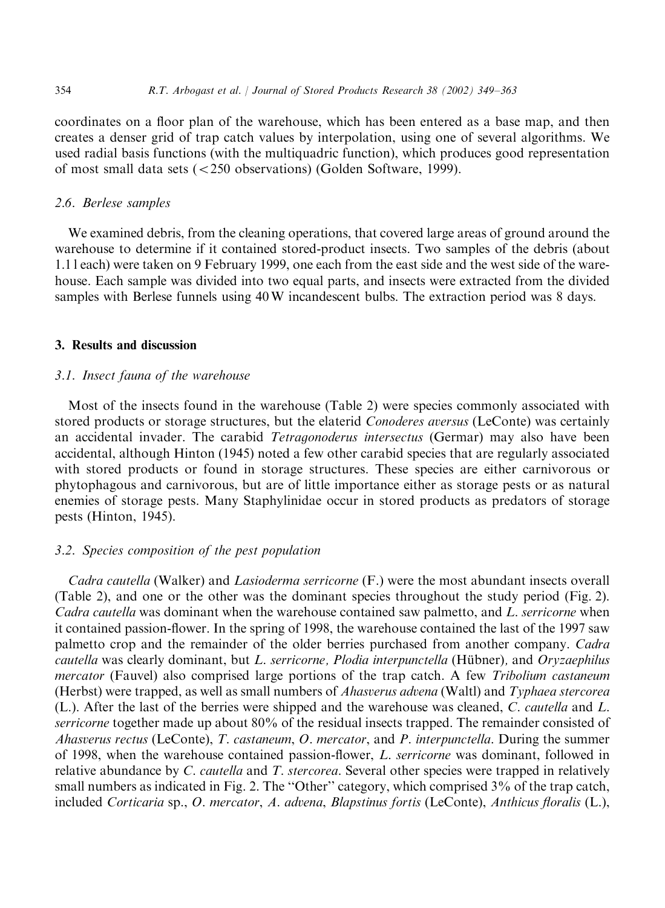coordinates on a floor plan of the warehouse, which has been entered as a base map, and then creates a denser grid of trap catch values by interpolation, using one of several algorithms. We used radial basis functions (with the multiquadric function), which produces good representation of most small data sets  $\left($  < 250 observations) (Golden Software, 1999).

#### 2.6. Berlese samples

We examined debris, from the cleaning operations, that covered large areas of ground around the warehouse to determine if it contained stored-product insects. Two samples of the debris (about 1.1 l each) were taken on 9 February 1999, one each from the east side and the west side of the warehouse. Each sample was divided into two equal parts, and insects were extracted from the divided samples with Berlese funnels using 40W incandescent bulbs. The extraction period was 8 days.

#### 3. Results and discussion

#### 3.1. Insect fauna of the warehouse

Most of the insects found in the warehouse (Table 2) were species commonly associated with stored products or storage structures, but the elaterid *Conoderes aversus* (LeConte) was certainly an accidental invader. The carabid Tetragonoderus intersectus (Germar) may also have been accidental, although Hinton (1945) noted a few other carabid species that are regularly associated with stored products or found in storage structures. These species are either carnivorous or phytophagous and carnivorous, but are of little importance either as storage pests or as natural enemies of storage pests. Many Staphylinidae occur in stored products as predators of storage pests (Hinton, 1945).

# 3.2. Species composition of the pest population

Cadra cautella (Walker) and Lasioderma serricorne (F.) were the most abundant insects overall (Table 2), and one or the other was the dominant species throughout the study period (Fig. 2). Cadra cautella was dominant when the warehouse contained saw palmetto, and L. serricorne when it contained passion-flower. In the spring of 1998, the warehouse contained the last of the 1997 saw palmetto crop and the remainder of the older berries purchased from another company. Cadra cautella was clearly dominant, but L. serricorne, Plodia interpunctella (Hübner), and Oryzaephilus mercator (Fauvel) also comprised large portions of the trap catch. A few Tribolium castaneum (Herbst) were trapped, as well as small numbers of Ahasverus advena (Waltl) and Typhaea stercorea (L.). After the last of the berries were shipped and the warehouse was cleaned, C. cautella and L. serricorne together made up about 80% of the residual insects trapped. The remainder consisted of Ahasverus rectus (LeConte),  $T.$  castaneum,  $O.$  mercator, and  $P.$  interpunctella. During the summer of 1998, when the warehouse contained passion-flower, L. serricorne was dominant, followed in relative abundance by C. cautella and T. stercorea. Several other species were trapped in relatively small numbers as indicated in Fig. 2. The "Other" category, which comprised 3% of the trap catch, included Corticaria sp., O. mercator, A. advena, Blapstinus fortis (LeConte), Anthicus floralis (L.),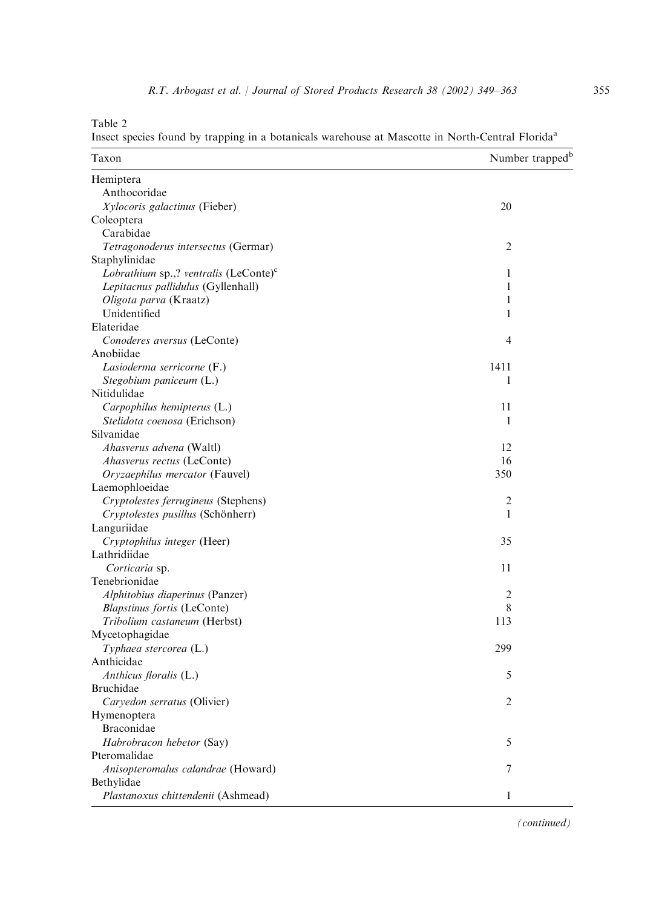Table 2

Insect species found by trapping in a botanicals warehouse at Mascotte in North-Central Floridaa

| Taxon                                    | Number trapped <sup>b</sup> |
|------------------------------------------|-----------------------------|
| Hemiptera                                |                             |
| Anthocoridae                             |                             |
| Xylocoris galactinus (Fieber)            | 20                          |
| Coleoptera                               |                             |
| Carabidae                                |                             |
| Tetragonoderus intersectus (Germar)      | 2                           |
| Staphylinidae                            |                             |
| Lobrathium sp.,? ventralis $(LeConte)^c$ | 1                           |
| Lepitacnus pallidulus (Gyllenhall)       | 1                           |
| Oligota parva (Kraatz)                   | 1                           |
| Unidentified                             | 1                           |
| Elateridae                               |                             |
| Conoderes aversus (LeConte)              | 4                           |
| Anobiidae                                |                             |
| Lasioderma serricorne (F.)               | 1411                        |
| Stegobium paniceum (L.)                  | 1                           |
| Nitidulidae                              |                             |
| Carpophilus hemipterus (L.)              | 11                          |
| Stelidota coenosa (Erichson)             | 1                           |
| Silvanidae                               |                             |
| Ahasverus advena (Waltl)                 | 12                          |
| Ahasverus rectus (LeConte)               | 16                          |
| Oryzaephilus mercator (Fauvel)           | 350                         |
| Laemophloeidae                           |                             |
| Cryptolestes ferrugineus (Stephens)      | 2                           |
| Cryptolestes pusillus (Schönherr)        | 1                           |
| Languriidae                              |                             |
| Cryptophilus integer (Heer)              | 35                          |
| Lathridiidae                             |                             |
| Corticaria sp.                           | 11                          |
| Tenebrionidae                            |                             |
| Alphitobius diaperinus (Panzer)          | 2                           |
| <b>Blapstinus fortis (LeConte)</b>       | 8                           |
| Tribolium castaneum (Herbst)             | 113                         |
| Mycetophagidae                           |                             |
| Typhaea stercorea (L.)                   | 299                         |
| Anthicidae                               |                             |
| Anthicus floralis (L.)                   | 5                           |
| <b>Bruchidae</b>                         |                             |
| Caryedon serratus (Olivier)              | 2                           |
| Hymenoptera                              |                             |
| Braconidae                               |                             |
| Habrobracon hebetor (Say)                | 5                           |
| Pteromalidae                             |                             |
| Anisopteromalus calandrae (Howard)       | 7                           |
|                                          |                             |
| Bethylidae                               |                             |
| Plastanoxus chittendenii (Ashmead)       | $\mathbf{1}$                |

(continued)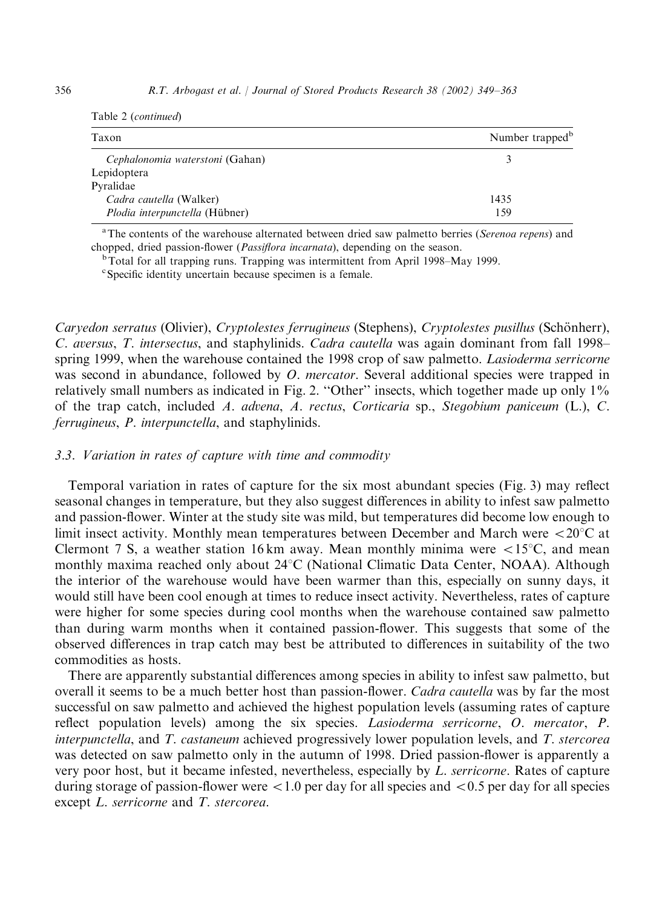#### 356 R.T. Arbogast et al. / Journal of Stored Products Research 38 (2002) 349–363

| Taxon                           | Number trapped <sup>b</sup> |  |  |
|---------------------------------|-----------------------------|--|--|
| Cephalonomia waterstoni (Gahan) |                             |  |  |
| Lepidoptera                     |                             |  |  |
| Pyralidae                       |                             |  |  |
| Cadra cautella (Walker)         | 1435                        |  |  |
| Plodia interpunctella (Hübner)  | 159                         |  |  |

Table 2 (continued)

<sup>a</sup>The contents of the warehouse alternated between dried saw palmetto berries (Serenoa repens) and chopped, dried passion-flower (*Passiflora incarnata*), depending on the season.<br><sup>b</sup>Total for all trapping runs. Trapping was intermittent from April 1998–May 1999.

<sup>c</sup> Specific identity uncertain because specimen is a female.

Caryedon serratus (Olivier), Cryptolestes ferrugineus (Stephens), Cryptolestes pusillus (Schönherr), C. aversus, T. intersectus, and staphylinids. Cadra cautella was again dominant from fall 1998– spring 1999, when the warehouse contained the 1998 crop of saw palmetto. Lasioderma serricorne was second in abundance, followed by O. mercator. Several additional species were trapped in relatively small numbers as indicated in Fig. 2. "Other" insects, which together made up only 1% of the trap catch, included A. advena, A. rectus, Corticaria sp., Stegobium paniceum  $(L)$ , C. ferrugineus, P. interpunctella, and staphylinids.

# 3.3. Variation in rates of capture with time and commodity

Temporal variation in rates of capture for the six most abundant species (Fig. 3) may reflect seasonal changes in temperature, but they also suggest differences in ability to infest saw palmetto and passion-flower. Winter at the study site was mild, but temperatures did become low enough to limit insect activity. Monthly mean temperatures between December and March were  $\langle 20^{\circ}$ C at Clermont 7 S, a weather station 16 km away. Mean monthly minima were  $\langle 15^{\circ}$ C, and mean monthly maxima reached only about 24°C (National Climatic Data Center, NOAA). Although the interior of the warehouse would have been warmer than this, especially on sunny days, it would still have been cool enough at times to reduce insect activity. Nevertheless, rates of capture were higher for some species during cool months when the warehouse contained saw palmetto than during warm months when it contained passion-flower. This suggests that some of the observed differences in trap catch may best be attributed to differences in suitability of the two commodities as hosts.

There are apparently substantial differences among species in ability to infest saw palmetto, but overall it seems to be a much better host than passion-flower. Cadra cautella was by far the most successful on saw palmetto and achieved the highest population levels (assuming rates of capture reflect population levels) among the six species. Lasioderma serricorne, O. mercator, P.  $interpunctella$ , and  $T.$  castaneum achieved progressively lower population levels, and  $T.$  stercorea was detected on saw palmetto only in the autumn of 1998. Dried passion-flower is apparently a very poor host, but it became infested, nevertheless, especially by L. serricorne. Rates of capture during storage of passion-flower were  $< 1.0$  per day for all species and  $< 0.5$  per day for all species except L. serricorne and T. stercorea.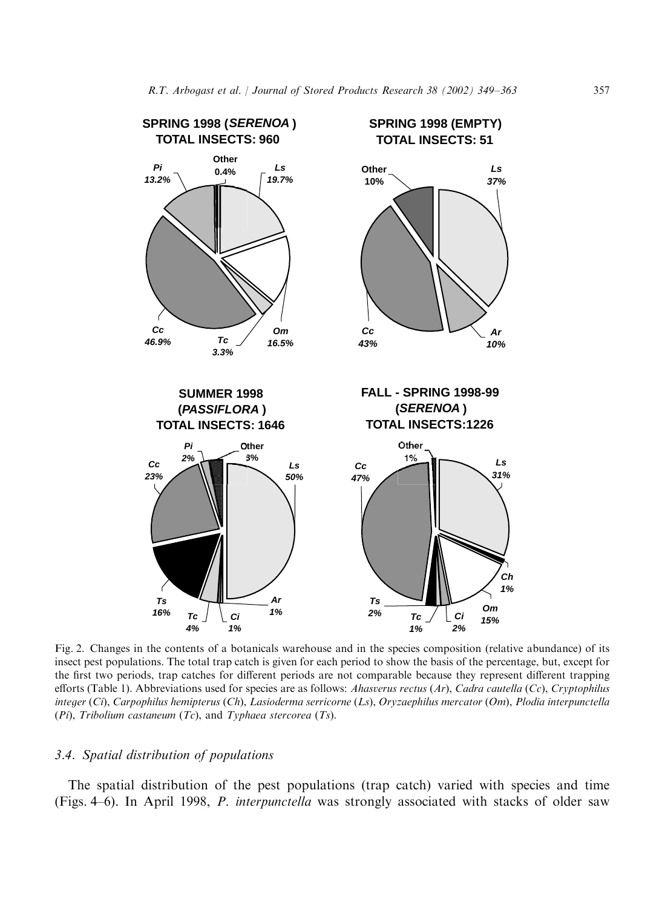

Fig. 2. Changes in the contents of a botanicals warehouse and in the species composition (relative abundance) of its insect pest populations. The total trap catch is given for each period to show the basis of the percentage, but, except for the first two periods, trap catches for different periods are not comparable because they represent different trapping efforts (Table 1). Abbreviations used for species are as follows: Ahasverus rectus (Ar), Cadra cautella (Cc), Cryptophilus integer (Ci), Carpophilus hemipterus (Ch), Lasioderma serricorne (Ls), Oryzaephilus mercator (Om), Plodia interpunctella (Pi), Tribolium castaneum (Tc), and Typhaea stercorea (Ts).

#### 3.4. Spatial distribution of populations

The spatial distribution of the pest populations (trap catch) varied with species and time (Figs. 4–6). In April 1998, P. interpunctella was strongly associated with stacks of older saw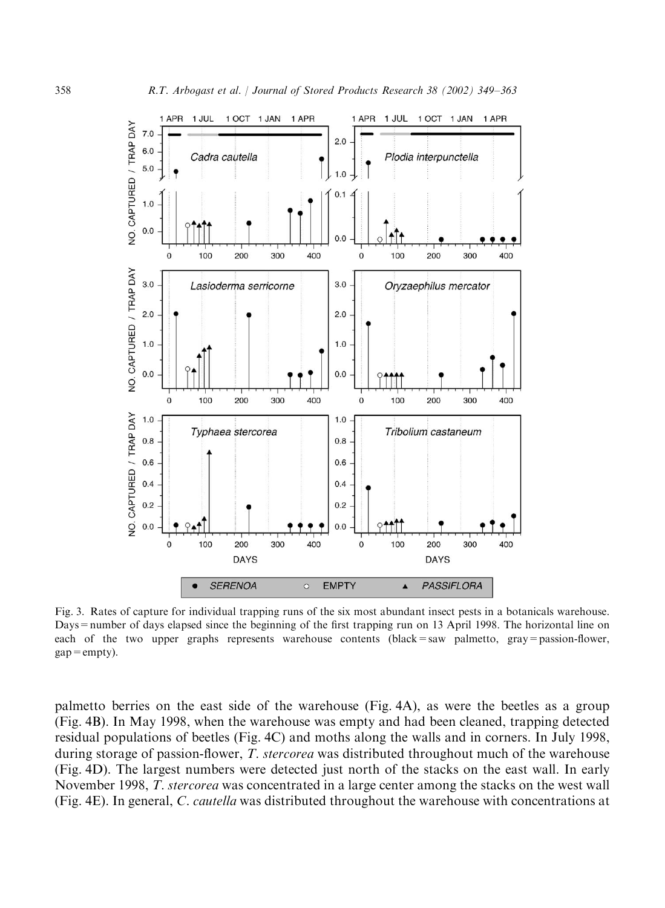

Fig. 3. Rates of capture for individual trapping runs of the six most abundant insect pests in a botanicals warehouse. Days=number of days elapsed since the beginning of the first trapping run on 13 April 1998. The horizontal line on each of the two upper graphs represents warehouse contents (black=saw palmetto, gray=passion-flower,  $gap = empty$ .

palmetto berries on the east side of the warehouse (Fig. 4A), as were the beetles as a group (Fig. 4B). In May 1998, when the warehouse was empty and had been cleaned, trapping detected residual populations of beetles (Fig. 4C) and moths along the walls and in corners. In July 1998, during storage of passion-flower, T. stercorea was distributed throughout much of the warehouse (Fig. 4D). The largest numbers were detected just north of the stacks on the east wall. In early November 1998, T. stercorea was concentrated in a large center among the stacks on the west wall (Fig. 4E). In general, C. cautella was distributed throughout the warehouse with concentrations at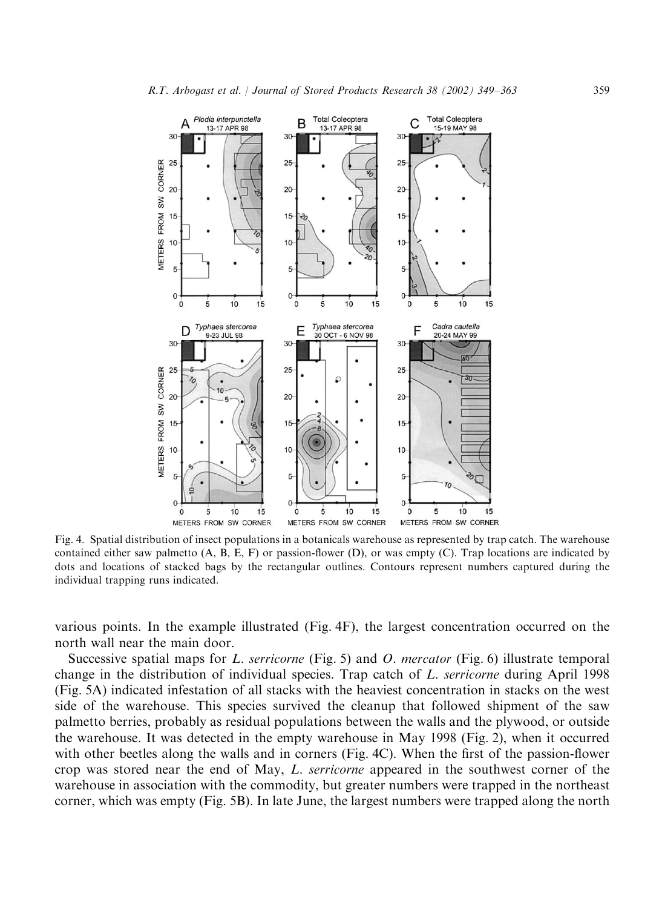

Fig. 4. Spatial distribution of insect populations in a botanicals warehouse as represented by trap catch. The warehouse contained either saw palmetto (A, B, E, F) or passion-flower (D), or was empty (C). Trap locations are indicated by dots and locations of stacked bags by the rectangular outlines. Contours represent numbers captured during the individual trapping runs indicated.

various points. In the example illustrated (Fig. 4F), the largest concentration occurred on the north wall near the main door.

Successive spatial maps for L. serricorne (Fig. 5) and O. mercator (Fig. 6) illustrate temporal change in the distribution of individual species. Trap catch of L. serricorne during April 1998 (Fig. 5A) indicated infestation of all stacks with the heaviest concentration in stacks on the west side of the warehouse. This species survived the cleanup that followed shipment of the saw palmetto berries, probably as residual populations between the walls and the plywood, or outside the warehouse. It was detected in the empty warehouse in May 1998 (Fig. 2), when it occurred with other beetles along the walls and in corners (Fig. 4C). When the first of the passion-flower crop was stored near the end of May, L. serricorne appeared in the southwest corner of the warehouse in association with the commodity, but greater numbers were trapped in the northeast corner, which was empty (Fig. 5B). In late June, the largest numbers were trapped along the north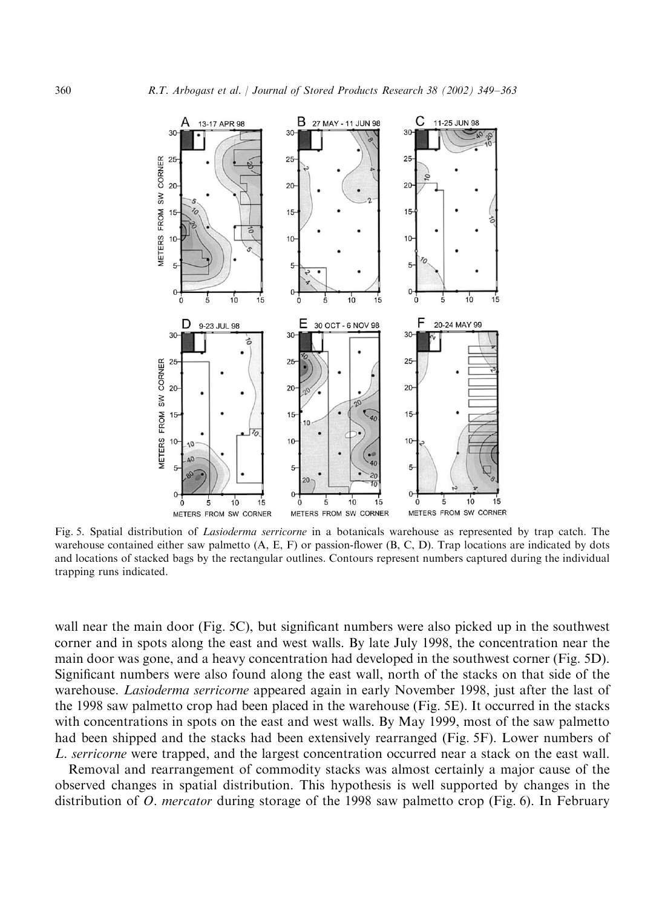

Fig. 5. Spatial distribution of Lasioderma serricorne in a botanicals warehouse as represented by trap catch. The warehouse contained either saw palmetto (A, E, F) or passion-flower (B, C, D). Trap locations are indicated by dots and locations of stacked bags by the rectangular outlines. Contours represent numbers captured during the individual trapping runs indicated.

wall near the main door (Fig. 5C), but significant numbers were also picked up in the southwest corner and in spots along the east and west walls. By late July 1998, the concentration near the main door was gone, and a heavy concentration had developed in the southwest corner (Fig. 5D). Significant numbers were also found along the east wall, north of the stacks on that side of the warehouse. Lasioderma serricorne appeared again in early November 1998, just after the last of the 1998 saw palmetto crop had been placed in the warehouse (Fig. 5E). It occurred in the stacks with concentrations in spots on the east and west walls. By May 1999, most of the saw palmetto had been shipped and the stacks had been extensively rearranged (Fig. 5F). Lower numbers of L. serricorne were trapped, and the largest concentration occurred near a stack on the east wall.

Removal and rearrangement of commodity stacks was almost certainly a major cause of the observed changes in spatial distribution. This hypothesis is well supported by changes in the distribution of *O. mercator* during storage of the 1998 saw palmetto crop (Fig. 6). In February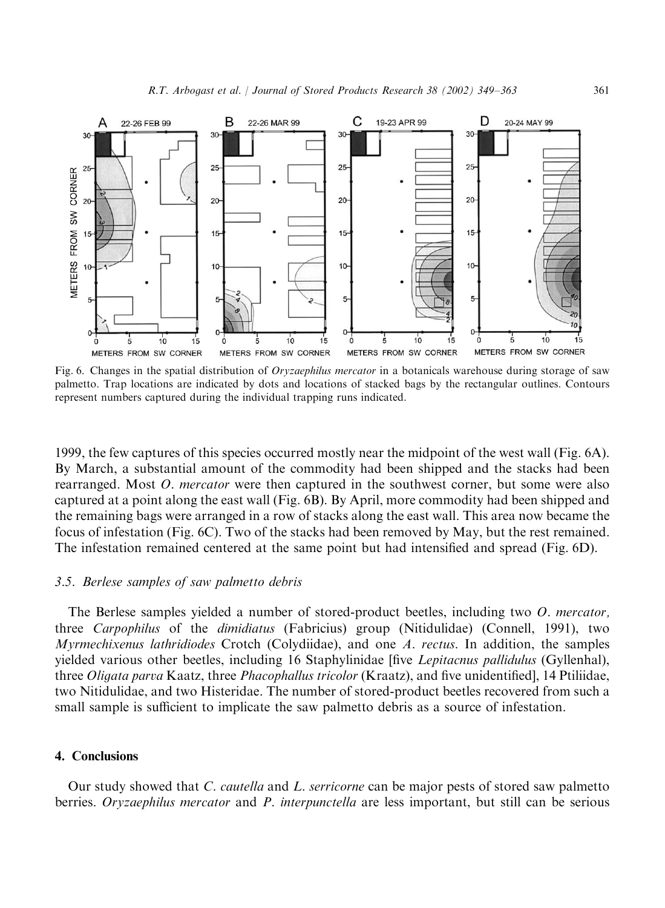

Fig. 6. Changes in the spatial distribution of *Oryzaephilus mercator* in a botanicals warehouse during storage of saw palmetto. Trap locations are indicated by dots and locations of stacked bags by the rectangular outlines. Contours represent numbers captured during the individual trapping runs indicated.

1999, the few captures of this species occurred mostly near the midpoint of the west wall (Fig. 6A). By March, a substantial amount of the commodity had been shipped and the stacks had been rearranged. Most *O. mercator* were then captured in the southwest corner, but some were also captured at a point along the east wall (Fig. 6B). By April, more commodity had been shipped and the remaining bags were arranged in a row of stacks along the east wall. This area now became the focus of infestation (Fig. 6C). Two of the stacks had been removed by May, but the rest remained. The infestation remained centered at the same point but had intensified and spread (Fig. 6D).

#### 3.5. Berlese samples of saw palmetto debris

The Berlese samples yielded a number of stored-product beetles, including two O. mercator, three Carpophilus of the dimidiatus (Fabricius) group (Nitidulidae) (Connell, 1991), two Myrmechixenus lathridiodes Crotch (Colydiidae), and one  $A$ . rectus. In addition, the samples yielded various other beetles, including 16 Staphylinidae [five Lepitacnus pallidulus (Gyllenhal), three Oligata parva Kaatz, three Phacophallus tricolor (Kraatz), and five unidentified], 14 Ptiliidae, two Nitidulidae, and two Histeridae. The number of stored-product beetles recovered from such a small sample is sufficient to implicate the saw palmetto debris as a source of infestation.

#### 4. Conclusions

Our study showed that C. cautella and L. serricorne can be major pests of stored saw palmetto berries. *Oryzaephilus mercator* and P. *interpunctella* are less important, but still can be serious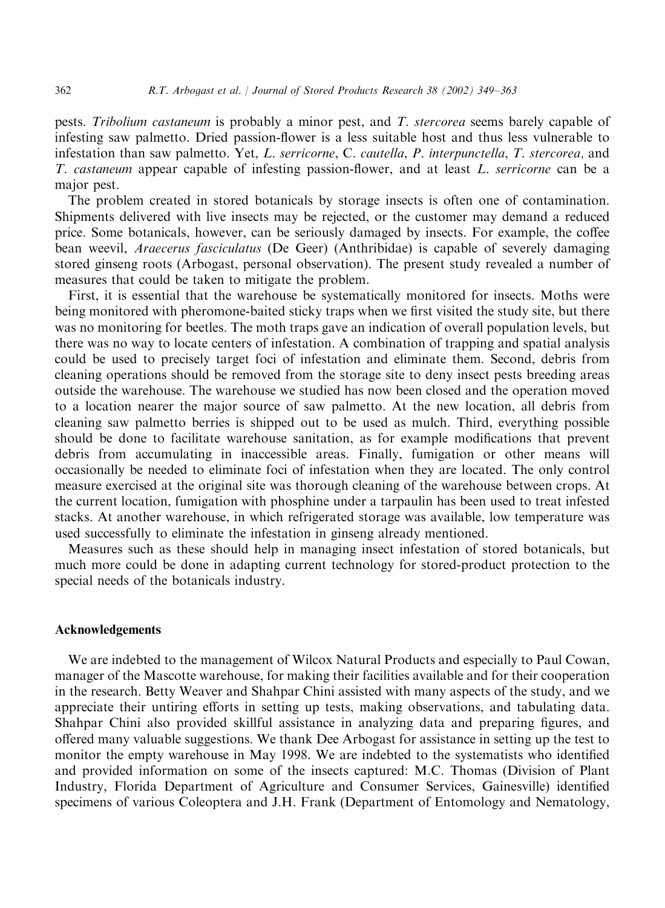pests. Tribolium castaneum is probably a minor pest, and T. stercorea seems barely capable of infesting saw palmetto. Dried passion-flower is a less suitable host and thus less vulnerable to infestation than saw palmetto. Yet, L. serricorne, C. cautella, P. interpunctella, T. stercorea, and T. castaneum appear capable of infesting passion-flower, and at least L. serricorne can be a major pest.

The problem created in stored botanicals by storage insects is often one of contamination. Shipments delivered with live insects may be rejected, or the customer may demand a reduced price. Some botanicals, however, can be seriously damaged by insects. For example, the coffee bean weevil, *Araecerus fasciculatus* (De Geer) (Anthribidae) is capable of severely damaging stored ginseng roots (Arbogast, personal observation). The present study revealed a number of measures that could be taken to mitigate the problem.

First, it is essential that the warehouse be systematically monitored for insects. Moths were being monitored with pheromone-baited sticky traps when we first visited the study site, but there was no monitoring for beetles. The moth traps gave an indication of overall population levels, but there was no way to locate centers of infestation. A combination of trapping and spatial analysis could be used to precisely target foci of infestation and eliminate them. Second, debris from cleaning operations should be removed from the storage site to deny insect pests breeding areas outside the warehouse. The warehouse we studied has now been closed and the operation moved to a location nearer the major source of saw palmetto. At the new location, all debris from cleaning saw palmetto berries is shipped out to be used as mulch. Third, everything possible should be done to facilitate warehouse sanitation, as for example modifications that prevent debris from accumulating in inaccessible areas. Finally, fumigation or other means will occasionally be needed to eliminate foci of infestation when they are located. The only control measure exercised at the original site was thorough cleaning of the warehouse between crops. At the current location, fumigation with phosphine under a tarpaulin has been used to treat infested stacks. At another warehouse, in which refrigerated storage was available, low temperature was used successfully to eliminate the infestation in ginseng already mentioned.

Measures such as these should help in managing insect infestation of stored botanicals, but much more could be done in adapting current technology for stored-product protection to the special needs of the botanicals industry.

#### Acknowledgements

We are indebted to the management of Wilcox Natural Products and especially to Paul Cowan, manager of the Mascotte warehouse, for making their facilities available and for their cooperation in the research. Betty Weaver and Shahpar Chini assisted with many aspects of the study, and we appreciate their untiring efforts in setting up tests, making observations, and tabulating data. Shahpar Chini also provided skillful assistance in analyzing data and preparing figures, and offered many valuable suggestions. We thank Dee Arbogast for assistance in setting up the test to monitor the empty warehouse in May 1998. We are indebted to the systematists who identified and provided information on some of the insects captured: M.C. Thomas (Division of Plant Industry, Florida Department of Agriculture and Consumer Services, Gainesville) identified specimens of various Coleoptera and J.H. Frank (Department of Entomology and Nematology,